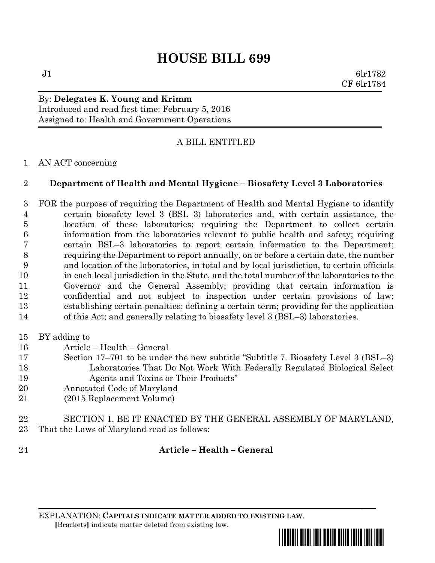# **HOUSE BILL 699**

 $J1$  6lr1782 CF 6lr1784

## By: **Delegates K. Young and Krimm** Introduced and read first time: February 5, 2016 Assigned to: Health and Government Operations

## A BILL ENTITLED

### AN ACT concerning

### **Department of Health and Mental Hygiene – Biosafety Level 3 Laboratories**

- FOR the purpose of requiring the Department of Health and Mental Hygiene to identify certain biosafety level 3 (BSL–3) laboratories and, with certain assistance, the location of these laboratories; requiring the Department to collect certain information from the laboratories relevant to public health and safety; requiring certain BSL–3 laboratories to report certain information to the Department; requiring the Department to report annually, on or before a certain date, the number and location of the laboratories, in total and by local jurisdiction, to certain officials in each local jurisdiction in the State, and the total number of the laboratories to the Governor and the General Assembly; providing that certain information is confidential and not subject to inspection under certain provisions of law; establishing certain penalties; defining a certain term; providing for the application of this Act; and generally relating to biosafety level 3 (BSL–3) laboratories.
- BY adding to
- Article Health General
- Section 17–701 to be under the new subtitle "Subtitle 7. Biosafety Level 3 (BSL–3) Laboratories That Do Not Work With Federally Regulated Biological Select Agents and Toxins or Their Products"
- Annotated Code of Maryland
- (2015 Replacement Volume)
- SECTION 1. BE IT ENACTED BY THE GENERAL ASSEMBLY OF MARYLAND, That the Laws of Maryland read as follows:
- 

**Article – Health – General**

EXPLANATION: **CAPITALS INDICATE MATTER ADDED TO EXISTING LAW**.  **[**Brackets**]** indicate matter deleted from existing law.

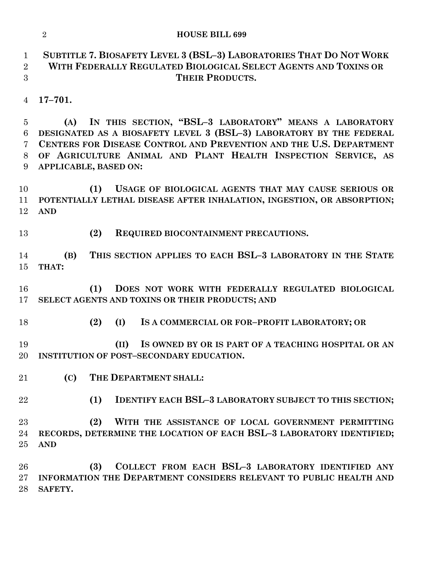|                                                               | $\overline{2}$<br><b>HOUSE BILL 699</b>                                                                                                                                                                                                                                                              |
|---------------------------------------------------------------|------------------------------------------------------------------------------------------------------------------------------------------------------------------------------------------------------------------------------------------------------------------------------------------------------|
| $\mathbf{1}$<br>$\overline{2}$<br>3                           | SUBTITLE 7. BIOSAFETY LEVEL 3 (BSL-3) LABORATORIES THAT DO NOT WORK<br>WITH FEDERALLY REGULATED BIOLOGICAL SELECT AGENTS AND TOXINS OR<br><b>THEIR PRODUCTS.</b>                                                                                                                                     |
| $\overline{4}$                                                | $17 - 701.$                                                                                                                                                                                                                                                                                          |
| $\overline{5}$<br>$6\phantom{.}6$<br>$\overline{7}$<br>8<br>9 | IN THIS SECTION, "BSL-3 LABORATORY" MEANS A LABORATORY<br>(A)<br>DESIGNATED AS A BIOSAFETY LEVEL 3 (BSL-3) LABORATORY BY THE FEDERAL<br>CENTERS FOR DISEASE CONTROL AND PREVENTION AND THE U.S. DEPARTMENT<br>OF AGRICULTURE ANIMAL AND PLANT HEALTH INSPECTION SERVICE, AS<br>APPLICABLE, BASED ON: |
| 10<br>11<br>12                                                | (1)<br>USAGE OF BIOLOGICAL AGENTS THAT MAY CAUSE SERIOUS OR<br>POTENTIALLY LETHAL DISEASE AFTER INHALATION, INGESTION, OR ABSORPTION;<br><b>AND</b>                                                                                                                                                  |
| 13                                                            | (2)<br>REQUIRED BIOCONTAINMENT PRECAUTIONS.                                                                                                                                                                                                                                                          |
| 14<br>15                                                      | THIS SECTION APPLIES TO EACH BSL-3 LABORATORY IN THE STATE<br>(B)<br>THAT:                                                                                                                                                                                                                           |
| 16<br>17                                                      | (1)<br>DOES NOT WORK WITH FEDERALLY REGULATED BIOLOGICAL<br>SELECT AGENTS AND TOXINS OR THEIR PRODUCTS; AND                                                                                                                                                                                          |
| 18                                                            | (2)<br>(I)<br>IS A COMMERCIAL OR FOR-PROFIT LABORATORY; OR                                                                                                                                                                                                                                           |
| 19<br>20                                                      | (II)<br>IS OWNED BY OR IS PART OF A TEACHING HOSPITAL OR AN<br><b>INSTITUTION OF POST-SECONDARY EDUCATION.</b>                                                                                                                                                                                       |
| 21                                                            | THE DEPARTMENT SHALL:<br>(C)                                                                                                                                                                                                                                                                         |
| 22                                                            | <b>IDENTIFY EACH BSL-3 LABORATORY SUBJECT TO THIS SECTION;</b><br>(1)                                                                                                                                                                                                                                |
| 23<br>24<br>25                                                | WITH THE ASSISTANCE OF LOCAL GOVERNMENT PERMITTING<br>(2)<br>RECORDS, DETERMINE THE LOCATION OF EACH BSL-3 LABORATORY IDENTIFIED;<br><b>AND</b>                                                                                                                                                      |
| 26<br>27<br>28                                                | COLLECT FROM EACH BSL-3 LABORATORY IDENTIFIED ANY<br>(3)<br>INFORMATION THE DEPARTMENT CONSIDERS RELEVANT TO PUBLIC HEALTH AND<br>SAFETY.                                                                                                                                                            |